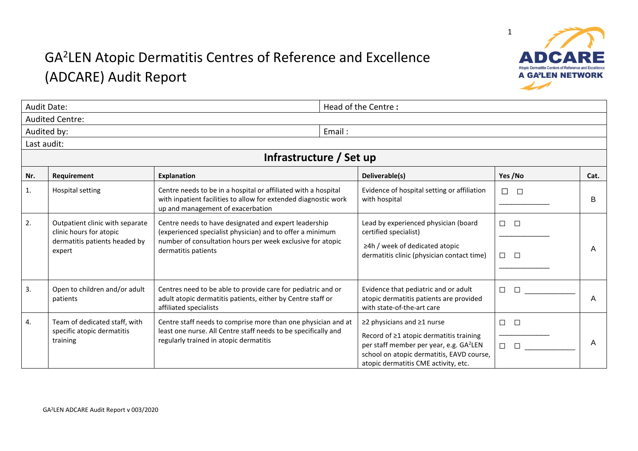## GA<sup>2</sup> LEN Atopic Dermatitis Centres of Reference and Excellence (ADCARE) Audit Report



|     | <b>Audit Date:</b>                                                                                    |                                                                                                                                                                                                         | Head of the Centre:                                                                                                                                                                                               |                                 |      |  |  |  |
|-----|-------------------------------------------------------------------------------------------------------|---------------------------------------------------------------------------------------------------------------------------------------------------------------------------------------------------------|-------------------------------------------------------------------------------------------------------------------------------------------------------------------------------------------------------------------|---------------------------------|------|--|--|--|
|     | <b>Audited Centre:</b>                                                                                |                                                                                                                                                                                                         |                                                                                                                                                                                                                   |                                 |      |  |  |  |
|     | Audited by:                                                                                           | Email:                                                                                                                                                                                                  |                                                                                                                                                                                                                   |                                 |      |  |  |  |
|     | Last audit:                                                                                           |                                                                                                                                                                                                         |                                                                                                                                                                                                                   |                                 |      |  |  |  |
|     | Infrastructure / Set up                                                                               |                                                                                                                                                                                                         |                                                                                                                                                                                                                   |                                 |      |  |  |  |
| Nr. | Requirement                                                                                           | <b>Explanation</b>                                                                                                                                                                                      | Deliverable(s)                                                                                                                                                                                                    | Yes /No                         | Cat. |  |  |  |
| 1.  | <b>Hospital setting</b>                                                                               | Centre needs to be in a hospital or affiliated with a hospital<br>with inpatient facilities to allow for extended diagnostic work<br>up and management of exacerbation                                  | Evidence of hospital setting or affiliation<br>with hospital                                                                                                                                                      | $\Box$<br>$\Box$                | B    |  |  |  |
| 2.  | Outpatient clinic with separate<br>clinic hours for atopic<br>dermatitis patients headed by<br>expert | Centre needs to have designated and expert leadership<br>(experienced specialist physician) and to offer a minimum<br>number of consultation hours per week exclusive for atopic<br>dermatitis patients | Lead by experienced physician (board<br>certified specialist)<br>$\geq$ 4h / week of dedicated atopic<br>dermatitis clinic (physician contact time)                                                               | $\Box$<br>$\Box$<br>$\Box$<br>П | A    |  |  |  |
| 3.  | Open to children and/or adult<br>patients                                                             | Centres need to be able to provide care for pediatric and or<br>adult atopic dermatitis patients, either by Centre staff or<br>affiliated specialists                                                   | Evidence that pediatric and or adult<br>atopic dermatitis patients are provided<br>with state-of-the-art care                                                                                                     | $\Box$<br>П                     | A    |  |  |  |
| 4.  | Team of dedicated staff, with<br>specific atopic dermatitis<br>training                               | Centre staff needs to comprise more than one physician and at<br>least one nurse. All Centre staff needs to be specifically and<br>regularly trained in atopic dermatitis                               | ≥2 physicians and ≥1 nurse<br>Record of ≥1 atopic dermatitis training<br>per staff member per year, e.g. GA <sup>2</sup> LEN<br>school on atopic dermatitis, EAVD course,<br>atopic dermatitis CME activity, etc. | □<br>$\Box$<br>$\Box$<br>$\Box$ | A    |  |  |  |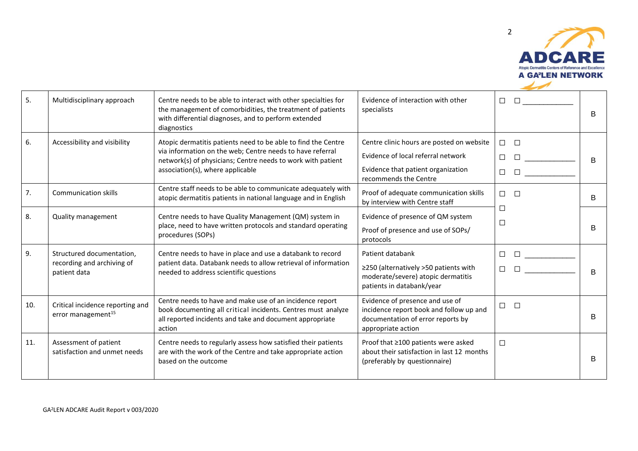

| 5.  | Multidisciplinary approach                                              | Centre needs to be able to interact with other specialties for<br>the management of comorbidities, the treatment of patients<br>with differential diagnoses, and to perform extended<br>diagnostics                           | Evidence of interaction with other<br>specialists                                                                                              | $\Box$<br>$\Box$                                                              | B              |
|-----|-------------------------------------------------------------------------|-------------------------------------------------------------------------------------------------------------------------------------------------------------------------------------------------------------------------------|------------------------------------------------------------------------------------------------------------------------------------------------|-------------------------------------------------------------------------------|----------------|
| 6.  | Accessibility and visibility                                            | Atopic dermatitis patients need to be able to find the Centre<br>via information on the web; Centre needs to have referral<br>network(s) of physicians; Centre needs to work with patient<br>association(s), where applicable | Centre clinic hours are posted on website<br>Evidence of local referral network<br>Evidence that patient organization<br>recommends the Centre | $\Box$ $\Box$<br>$\Box$<br>$\Box$                                             | B              |
| 7.  | <b>Communication skills</b>                                             | Centre staff needs to be able to communicate adequately with<br>atopic dermatitis patients in national language and in English                                                                                                | Proof of adequate communication skills<br>by interview with Centre staff                                                                       | $\Box$<br>$\Box$                                                              | B              |
| 8.  | Quality management                                                      | Centre needs to have Quality Management (QM) system in<br>place, need to have written protocols and standard operating<br>procedures (SOPs)                                                                                   | Evidence of presence of QM system<br>Proof of presence and use of SOPs/<br>protocols                                                           | □<br>$\Box$                                                                   | B              |
| 9.  | Structured documentation,<br>recording and archiving of<br>patient data | Centre needs to have in place and use a databank to record<br>patient data. Databank needs to allow retrieval of information<br>needed to address scientific questions                                                        | Patient databank<br>≥250 (alternatively >50 patients with<br>moderate/severe) atopic dermatitis<br>patients in databank/year                   | $\Box$<br>$\begin{array}{ccc}\n\Box & \Box & \Box & \Box & \Box\n\end{array}$ | $\overline{B}$ |
| 10. | Critical incidence reporting and<br>error management <sup>15</sup>      | Centre needs to have and make use of an incidence report<br>book documenting all critical incidents. Centres must analyze<br>all reported incidents and take and document appropriate<br>action                               | Evidence of presence and use of<br>incidence report book and follow up and<br>documentation of error reports by<br>appropriate action          | $\Box$ $\Box$                                                                 | B              |
| 11. | Assessment of patient<br>satisfaction and unmet needs                   | Centre needs to regularly assess how satisfied their patients<br>are with the work of the Centre and take appropriate action<br>based on the outcome                                                                          | Proof that ≥100 patients were asked<br>about their satisfaction in last 12 months<br>(preferably by questionnaire)                             | $\Box$                                                                        | B              |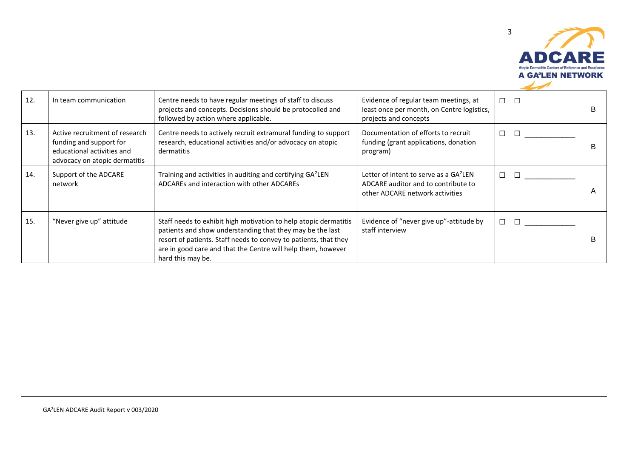

| 12. | In team communication                                                                                                    | Centre needs to have regular meetings of staff to discuss<br>projects and concepts. Decisions should be protocolled and<br>followed by action where applicable.                                                                                                                        | Evidence of regular team meetings, at<br>least once per month, on Centre logistics,<br>projects and concepts                 | П.<br>$\Box$ | B              |
|-----|--------------------------------------------------------------------------------------------------------------------------|----------------------------------------------------------------------------------------------------------------------------------------------------------------------------------------------------------------------------------------------------------------------------------------|------------------------------------------------------------------------------------------------------------------------------|--------------|----------------|
| 13. | Active recruitment of research<br>funding and support for<br>educational activities and<br>advocacy on atopic dermatitis | Centre needs to actively recruit extramural funding to support<br>research, educational activities and/or advocacy on atopic<br>dermatitis                                                                                                                                             | Documentation of efforts to recruit<br>funding (grant applications, donation<br>program)                                     | П<br>$\Box$  | B              |
| 14. | Support of the ADCARE<br>network                                                                                         | Training and activities in auditing and certifying GA <sup>2</sup> LEN<br>ADCAREs and interaction with other ADCARES                                                                                                                                                                   | Letter of intent to serve as a GA <sup>2</sup> LEN<br>ADCARE auditor and to contribute to<br>other ADCARE network activities | П            | $\overline{A}$ |
| 15. | "Never give up" attitude                                                                                                 | Staff needs to exhibit high motivation to help atopic dermatitis<br>patients and show understanding that they may be the last<br>resort of patients. Staff needs to convey to patients, that they<br>are in good care and that the Centre will help them, however<br>hard this may be. | Evidence of "never give up"-attitude by<br>staff interview                                                                   | П            |                |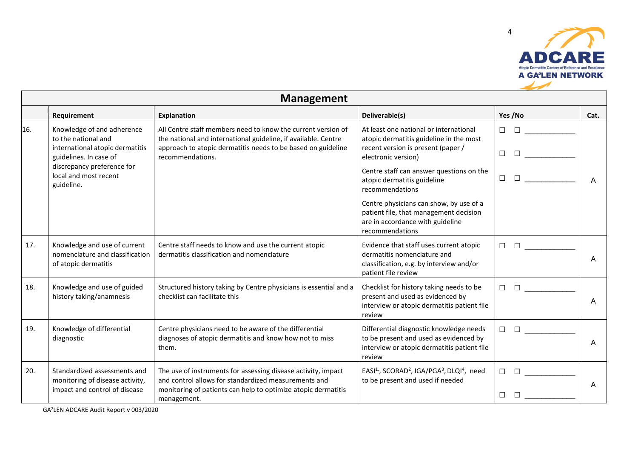

|     | <b>Management</b>                                                                                              |                                                                                                                                                                                                                    |                                                                                                                                                |                                                                                                                                                                                                                                                |      |  |  |
|-----|----------------------------------------------------------------------------------------------------------------|--------------------------------------------------------------------------------------------------------------------------------------------------------------------------------------------------------------------|------------------------------------------------------------------------------------------------------------------------------------------------|------------------------------------------------------------------------------------------------------------------------------------------------------------------------------------------------------------------------------------------------|------|--|--|
|     | Requirement                                                                                                    | <b>Explanation</b>                                                                                                                                                                                                 | Deliverable(s)                                                                                                                                 | Yes /No                                                                                                                                                                                                                                        | Cat. |  |  |
| 16. | Knowledge of and adherence<br>to the national and<br>international atopic dermatitis<br>guidelines. In case of | All Centre staff members need to know the current version of<br>the national and international guideline, if available. Centre<br>approach to atopic dermatitis needs to be based on guideline<br>recommendations. | At least one national or international<br>atopic dermatitis guideline in the most<br>recent version is present (paper /<br>electronic version) | $\Box$ and $\Box$ and $\Box$<br>$\Box$<br>□                                                                                                                                                                                                    |      |  |  |
|     | discrepancy preference for<br>local and most recent<br>guideline.                                              |                                                                                                                                                                                                                    | Centre staff can answer questions on the<br>atopic dermatitis guideline<br>recommendations                                                     | $\Box$<br><b>Experience</b>                                                                                                                                                                                                                    |      |  |  |
|     |                                                                                                                |                                                                                                                                                                                                                    | Centre physicians can show, by use of a<br>patient file, that management decision<br>are in accordance with guideline<br>recommendations       |                                                                                                                                                                                                                                                |      |  |  |
| 17. | Knowledge and use of current<br>nomenclature and classification<br>of atopic dermatitis                        | Centre staff needs to know and use the current atopic<br>dermatitis classification and nomenclature                                                                                                                | Evidence that staff uses current atopic<br>dermatitis nomenclature and<br>classification, e.g. by interview and/or<br>patient file review      | $\Box$ $\Box$<br>$\Box$                                                                                                                                                                                                                        | A    |  |  |
| 18. | Knowledge and use of guided<br>history taking/anamnesis                                                        | Structured history taking by Centre physicians is essential and a<br>checklist can facilitate this                                                                                                                 | Checklist for history taking needs to be<br>present and used as evidenced by<br>interview or atopic dermatitis patient file<br>review          | <b>In the contract of the contract of the contract of the contract of the contract of the contract of the contract of the contract of the contract of the contract of the contract of the contract of the contract of the contra</b><br>$\Box$ | A    |  |  |
| 19. | Knowledge of differential<br>diagnostic                                                                        | Centre physicians need to be aware of the differential<br>diagnoses of atopic dermatitis and know how not to miss<br>them.                                                                                         | Differential diagnostic knowledge needs<br>to be present and used as evidenced by<br>interview or atopic dermatitis patient file<br>review     | $\Box$ and $\Box$ and $\Box$<br>$\Box$                                                                                                                                                                                                         | A    |  |  |
| 20. | Standardized assessments and<br>monitoring of disease activity,<br>impact and control of disease               | The use of instruments for assessing disease activity, impact<br>and control allows for standardized measurements and<br>monitoring of patients can help to optimize atopic dermatitis<br>management.              | EASI <sup>1,</sup> , SCORAD <sup>2</sup> , IGA/PGA <sup>3</sup> , DLQI <sup>4</sup> , need<br>to be present and used if needed                 | <b>Experience</b><br>$\Box$<br>П<br>$\Box$                                                                                                                                                                                                     | A    |  |  |

GA<sup>2</sup>LEN ADCARE Audit Report v 003/2020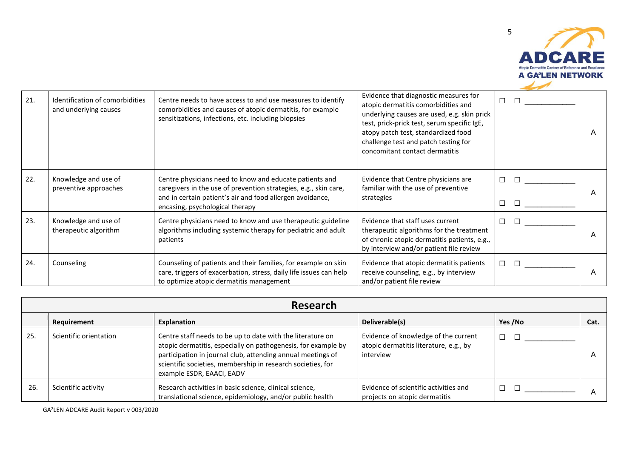

| 21. | Identification of comorbidities<br>and underlying causes | Centre needs to have access to and use measures to identify<br>comorbidities and causes of atopic dermatitis, for example<br>sensitizations, infections, etc. including biopsies                                            | Evidence that diagnostic measures for<br>atopic dermatitis comorbidities and<br>underlying causes are used, e.g. skin prick<br>test, prick-prick test, serum specific IgE,<br>atopy patch test, standardized food<br>challenge test and patch testing for<br>concomitant contact dermatitis | □                | A |
|-----|----------------------------------------------------------|-----------------------------------------------------------------------------------------------------------------------------------------------------------------------------------------------------------------------------|---------------------------------------------------------------------------------------------------------------------------------------------------------------------------------------------------------------------------------------------------------------------------------------------|------------------|---|
| 22. | Knowledge and use of<br>preventive approaches            | Centre physicians need to know and educate patients and<br>caregivers in the use of prevention strategies, e.g., skin care,<br>and in certain patient's air and food allergen avoidance,<br>encasing, psychological therapy | Evidence that Centre physicians are<br>familiar with the use of preventive<br>strategies                                                                                                                                                                                                    | $\Box$<br>$\Box$ | A |
| 23. | Knowledge and use of<br>therapeutic algorithm            | Centre physicians need to know and use therapeutic guideline<br>algorithms including systemic therapy for pediatric and adult<br>patients                                                                                   | Evidence that staff uses current<br>therapeutic algorithms for the treatment<br>of chronic atopic dermatitis patients, e.g.,<br>by interview and/or patient file review                                                                                                                     | $\Box$<br>П      | A |
| 24. | Counseling                                               | Counseling of patients and their families, for example on skin<br>care, triggers of exacerbation, stress, daily life issues can help<br>to optimize atopic dermatitis management                                            | Evidence that atopic dermatitis patients<br>receive counseling, e.g., by interview<br>and/or patient file review                                                                                                                                                                            | $\Box$<br>П      | A |

|     | Research               |                                                                                                                                                                                                                                                                                        |                                                                                             |         |      |  |  |
|-----|------------------------|----------------------------------------------------------------------------------------------------------------------------------------------------------------------------------------------------------------------------------------------------------------------------------------|---------------------------------------------------------------------------------------------|---------|------|--|--|
|     | Requirement            | Explanation                                                                                                                                                                                                                                                                            | Deliverable(s)                                                                              | Yes /No | Cat. |  |  |
| 25. | Scientific orientation | Centre staff needs to be up to date with the literature on<br>atopic dermatitis, especially on pathogenesis, for example by<br>participation in journal club, attending annual meetings of<br>scientific societies, membership in research societies, for<br>example ESDR, EAACI, EADV | Evidence of knowledge of the current<br>atopic dermatitis literature, e.g., by<br>interview | $\Box$  |      |  |  |
| 26. | Scientific activity    | Research activities in basic science, clinical science,<br>translational science, epidemiology, and/or public health                                                                                                                                                                   | Evidence of scientific activities and<br>projects on atopic dermatitis                      |         |      |  |  |

GA<sup>2</sup>LEN ADCARE Audit Report v 003/2020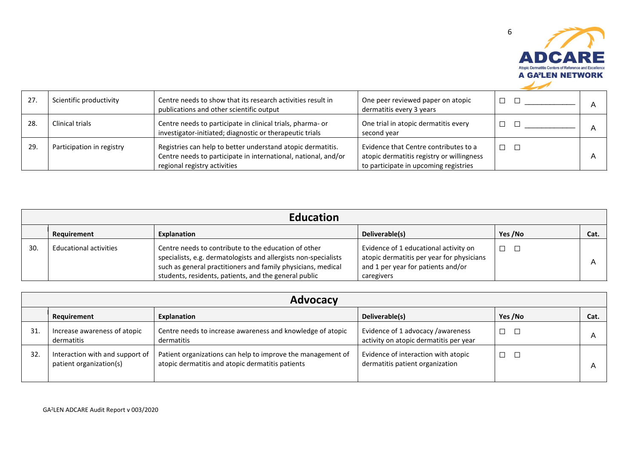

| 27. | Scientific productivity   | Centre needs to show that its research activities result in<br>publications and other scientific output                                                       | One peer reviewed paper on atopic<br>dermatitis every 3 years                                                               | $\Box$        |  |
|-----|---------------------------|---------------------------------------------------------------------------------------------------------------------------------------------------------------|-----------------------------------------------------------------------------------------------------------------------------|---------------|--|
| 28. | Clinical trials           | Centre needs to participate in clinical trials, pharma- or<br>investigator-initiated; diagnostic or therapeutic trials                                        | One trial in atopic dermatitis every<br>second year                                                                         |               |  |
| 29. | Participation in registry | Registries can help to better understand atopic dermatitis.<br>Centre needs to participate in international, national, and/or<br>regional registry activities | Evidence that Centre contributes to a<br>atopic dermatitis registry or willingness<br>to participate in upcoming registries | $\Box$ $\Box$ |  |

|     | <b>Education</b>              |                                                                                                                                                                                                                                                  |                                                                                                                                        |         |      |  |  |
|-----|-------------------------------|--------------------------------------------------------------------------------------------------------------------------------------------------------------------------------------------------------------------------------------------------|----------------------------------------------------------------------------------------------------------------------------------------|---------|------|--|--|
|     | Requirement                   | <b>Explanation</b>                                                                                                                                                                                                                               | Deliverable(s)                                                                                                                         | Yes /No | Cat. |  |  |
| 30. | <b>Educational activities</b> | Centre needs to contribute to the education of other<br>specialists, e.g. dermatologists and allergists non-specialists<br>such as general practitioners and family physicians, medical<br>students, residents, patients, and the general public | Evidence of 1 educational activity on<br>atopic dermatitis per year for physicians<br>and 1 per year for patients and/or<br>caregivers |         |      |  |  |

|     | <b>Advocacy</b>                                            |                                                                                                                 |                                                                              |         |      |  |  |
|-----|------------------------------------------------------------|-----------------------------------------------------------------------------------------------------------------|------------------------------------------------------------------------------|---------|------|--|--|
|     | Requirement                                                | Explanation                                                                                                     | Deliverable(s)                                                               | Yes /No | Cat. |  |  |
| 31. | Increase awareness of atopic<br>dermatitis                 | Centre needs to increase awareness and knowledge of atopic<br>dermatitis                                        | Evidence of 1 advocacy / awareness<br>activity on atopic dermatitis per year | $\Box$  |      |  |  |
| 32. | Interaction with and support of<br>patient organization(s) | Patient organizations can help to improve the management of<br>atopic dermatitis and atopic dermatitis patients | Evidence of interaction with atopic<br>dermatitis patient organization       |         |      |  |  |